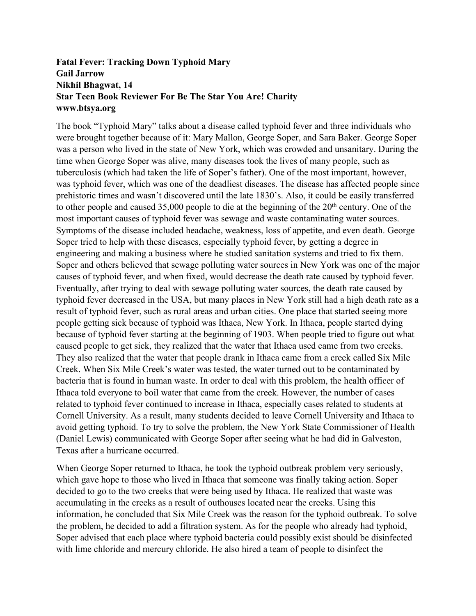## **Fatal Fever: Tracking Down Typhoid Mary Gail Jarrow Nikhil Bhagwat, 14 Star Teen Book Reviewer For Be The Star You Are! Charity www.btsya.org**

The book "Typhoid Mary" talks about a disease called typhoid fever and three individuals who were brought together because of it: Mary Mallon, George Soper, and Sara Baker. George Soper was a person who lived in the state of New York, which was crowded and unsanitary. During the time when George Soper was alive, many diseases took the lives of many people, such as tuberculosis (which had taken the life of Soper's father). One of the most important, however, was typhoid fever, which was one of the deadliest diseases. The disease has affected people since prehistoric times and wasn't discovered until the late 1830's. Also, it could be easily transferred to other people and caused 35,000 people to die at the beginning of the  $20<sup>th</sup>$  century. One of the most important causes of typhoid fever was sewage and waste contaminating water sources. Symptoms of the disease included headache, weakness, loss of appetite, and even death. George Soper tried to help with these diseases, especially typhoid fever, by getting a degree in engineering and making a business where he studied sanitation systems and tried to fix them. Soper and others believed that sewage polluting water sources in New York was one of the major causes of typhoid fever, and when fixed, would decrease the death rate caused by typhoid fever. Eventually, after trying to deal with sewage polluting water sources, the death rate caused by typhoid fever decreased in the USA, but many places in New York still had a high death rate as a result of typhoid fever, such as rural areas and urban cities. One place that started seeing more people getting sick because of typhoid was Ithaca, New York. In Ithaca, people started dying because of typhoid fever starting at the beginning of 1903. When people tried to figure out what caused people to get sick, they realized that the water that Ithaca used came from two creeks. They also realized that the water that people drank in Ithaca came from a creek called Six Mile Creek. When Six Mile Creek's water was tested, the water turned out to be contaminated by bacteria that is found in human waste. In order to deal with this problem, the health officer of Ithaca told everyone to boil water that came from the creek. However, the number of cases related to typhoid fever continued to increase in Ithaca, especially cases related to students at Cornell University. As a result, many students decided to leave Cornell University and Ithaca to avoid getting typhoid. To try to solve the problem, the New York State Commissioner of Health (Daniel Lewis) communicated with George Soper after seeing what he had did in Galveston, Texas after a hurricane occurred.

When George Soper returned to Ithaca, he took the typhoid outbreak problem very seriously, which gave hope to those who lived in Ithaca that someone was finally taking action. Soper decided to go to the two creeks that were being used by Ithaca. He realized that waste was accumulating in the creeks as a result of outhouses located near the creeks. Using this information, he concluded that Six Mile Creek was the reason for the typhoid outbreak. To solve the problem, he decided to add a filtration system. As for the people who already had typhoid, Soper advised that each place where typhoid bacteria could possibly exist should be disinfected with lime chloride and mercury chloride. He also hired a team of people to disinfect the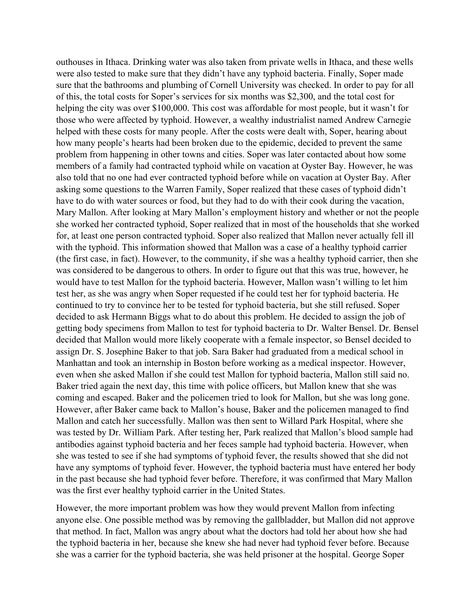outhouses in Ithaca. Drinking water was also taken from private wells in Ithaca, and these wells were also tested to make sure that they didn't have any typhoid bacteria. Finally, Soper made sure that the bathrooms and plumbing of Cornell University was checked. In order to pay for all of this, the total costs for Soper's services for six months was \$2,300, and the total cost for helping the city was over \$100,000. This cost was affordable for most people, but it wasn't for those who were affected by typhoid. However, a wealthy industrialist named Andrew Carnegie helped with these costs for many people. After the costs were dealt with, Soper, hearing about how many people's hearts had been broken due to the epidemic, decided to prevent the same problem from happening in other towns and cities. Soper was later contacted about how some members of a family had contracted typhoid while on vacation at Oyster Bay. However, he was also told that no one had ever contracted typhoid before while on vacation at Oyster Bay. After asking some questions to the Warren Family, Soper realized that these cases of typhoid didn't have to do with water sources or food, but they had to do with their cook during the vacation, Mary Mallon. After looking at Mary Mallon's employment history and whether or not the people she worked her contracted typhoid, Soper realized that in most of the households that she worked for, at least one person contracted typhoid. Soper also realized that Mallon never actually fell ill with the typhoid. This information showed that Mallon was a case of a healthy typhoid carrier (the first case, in fact). However, to the community, if she was a healthy typhoid carrier, then she was considered to be dangerous to others. In order to figure out that this was true, however, he would have to test Mallon for the typhoid bacteria. However, Mallon wasn't willing to let him test her, as she was angry when Soper requested if he could test her for typhoid bacteria. He continued to try to convince her to be tested for typhoid bacteria, but she still refused. Soper decided to ask Hermann Biggs what to do about this problem. He decided to assign the job of getting body specimens from Mallon to test for typhoid bacteria to Dr. Walter Bensel. Dr. Bensel decided that Mallon would more likely cooperate with a female inspector, so Bensel decided to assign Dr. S. Josephine Baker to that job. Sara Baker had graduated from a medical school in Manhattan and took an internship in Boston before working as a medical inspector. However, even when she asked Mallon if she could test Mallon for typhoid bacteria, Mallon still said no. Baker tried again the next day, this time with police officers, but Mallon knew that she was coming and escaped. Baker and the policemen tried to look for Mallon, but she was long gone. However, after Baker came back to Mallon's house, Baker and the policemen managed to find Mallon and catch her successfully. Mallon was then sent to Willard Park Hospital, where she was tested by Dr. William Park. After testing her, Park realized that Mallon's blood sample had antibodies against typhoid bacteria and her feces sample had typhoid bacteria. However, when she was tested to see if she had symptoms of typhoid fever, the results showed that she did not have any symptoms of typhoid fever. However, the typhoid bacteria must have entered her body in the past because she had typhoid fever before. Therefore, it was confirmed that Mary Mallon was the first ever healthy typhoid carrier in the United States.

However, the more important problem was how they would prevent Mallon from infecting anyone else. One possible method was by removing the gallbladder, but Mallon did not approve that method. In fact, Mallon was angry about what the doctors had told her about how she had the typhoid bacteria in her, because she knew she had never had typhoid fever before. Because she was a carrier for the typhoid bacteria, she was held prisoner at the hospital. George Soper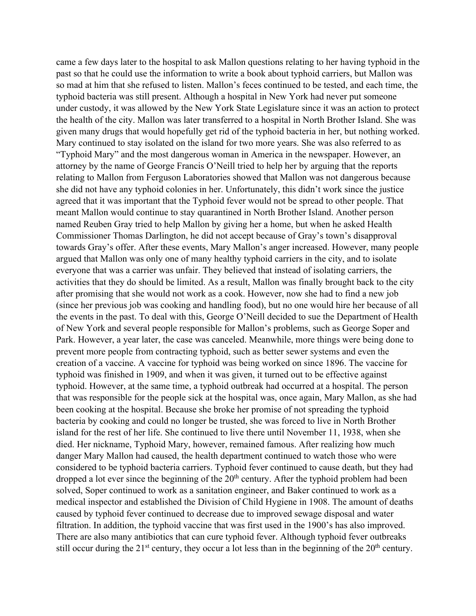came a few days later to the hospital to ask Mallon questions relating to her having typhoid in the past so that he could use the information to write a book about typhoid carriers, but Mallon was so mad at him that she refused to listen. Mallon's feces continued to be tested, and each time, the typhoid bacteria was still present. Although a hospital in New York had never put someone under custody, it was allowed by the New York State Legislature since it was an action to protect the health of the city. Mallon was later transferred to a hospital in North Brother Island. She was given many drugs that would hopefully get rid of the typhoid bacteria in her, but nothing worked. Mary continued to stay isolated on the island for two more years. She was also referred to as "Typhoid Mary" and the most dangerous woman in America in the newspaper. However, an attorney by the name of George Francis O'Neill tried to help her by arguing that the reports relating to Mallon from Ferguson Laboratories showed that Mallon was not dangerous because she did not have any typhoid colonies in her. Unfortunately, this didn't work since the justice agreed that it was important that the Typhoid fever would not be spread to other people. That meant Mallon would continue to stay quarantined in North Brother Island. Another person named Reuben Gray tried to help Mallon by giving her a home, but when he asked Health Commissioner Thomas Darlington, he did not accept because of Gray's town's disapproval towards Gray's offer. After these events, Mary Mallon's anger increased. However, many people argued that Mallon was only one of many healthy typhoid carriers in the city, and to isolate everyone that was a carrier was unfair. They believed that instead of isolating carriers, the activities that they do should be limited. As a result, Mallon was finally brought back to the city after promising that she would not work as a cook. However, now she had to find a new job (since her previous job was cooking and handling food), but no one would hire her because of all the events in the past. To deal with this, George O'Neill decided to sue the Department of Health of New York and several people responsible for Mallon's problems, such as George Soper and Park. However, a year later, the case was canceled. Meanwhile, more things were being done to prevent more people from contracting typhoid, such as better sewer systems and even the creation of a vaccine. A vaccine for typhoid was being worked on since 1896. The vaccine for typhoid was finished in 1909, and when it was given, it turned out to be effective against typhoid. However, at the same time, a typhoid outbreak had occurred at a hospital. The person that was responsible for the people sick at the hospital was, once again, Mary Mallon, as she had been cooking at the hospital. Because she broke her promise of not spreading the typhoid bacteria by cooking and could no longer be trusted, she was forced to live in North Brother island for the rest of her life. She continued to live there until November 11, 1938, when she died. Her nickname, Typhoid Mary, however, remained famous. After realizing how much danger Mary Mallon had caused, the health department continued to watch those who were considered to be typhoid bacteria carriers. Typhoid fever continued to cause death, but they had dropped a lot ever since the beginning of the  $20<sup>th</sup>$  century. After the typhoid problem had been solved, Soper continued to work as a sanitation engineer, and Baker continued to work as a medical inspector and established the Division of Child Hygiene in 1908. The amount of deaths caused by typhoid fever continued to decrease due to improved sewage disposal and water filtration. In addition, the typhoid vaccine that was first used in the 1900's has also improved. There are also many antibiotics that can cure typhoid fever. Although typhoid fever outbreaks still occur during the  $21<sup>st</sup>$  century, they occur a lot less than in the beginning of the  $20<sup>th</sup>$  century.